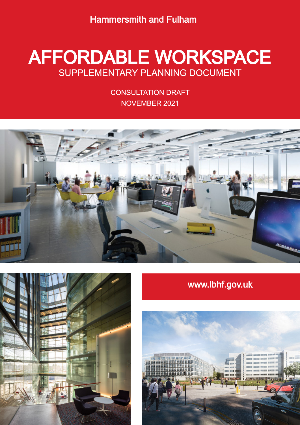Hammersmith and Fulham

# **DEFORDABLE WORKSPACE November 2021 SUPPLEMENTARY PLANNING DOCUMENT** AFFORDABLE WORKSPACE

CONSULTATION DRAFT NOVEMBER 2021





# www.lbhf.gov.uk

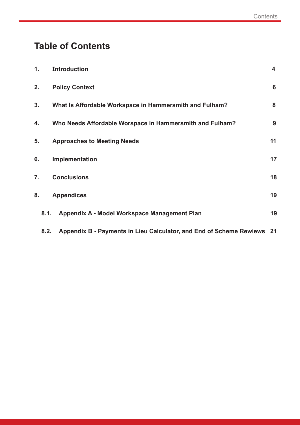# **Table of Contents**

| 1.               |      | <b>Introduction</b>                                                         | $\overline{\mathbf{4}}$ |
|------------------|------|-----------------------------------------------------------------------------|-------------------------|
| 2.               |      | <b>Policy Context</b>                                                       | 6                       |
| 3.               |      | What Is Affordable Workspace in Hammersmith and Fulham?                     | 8                       |
| 4.               |      | Who Needs Affordable Worspace in Hammersmith and Fulham?                    | 9                       |
| 5.               |      | <b>Approaches to Meeting Needs</b>                                          | 11                      |
| 6.               |      | Implementation                                                              | 17                      |
| $\overline{7}$ . |      | <b>Conclusions</b>                                                          | 18                      |
| 8.               |      | <b>Appendices</b>                                                           | 19                      |
|                  | 8.1. | Appendix A - Model Workspace Management Plan                                | 19                      |
|                  |      | 8.2. Appendix B - Payments in Lieu Calculator, and End of Scheme Rewiews 21 |                         |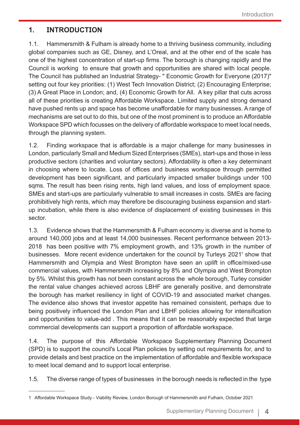# **1. INTRODUCTION**

1.1. Hammersmith & Fulham is already home to a thriving business community, including global companies such as GE, Disney, and L'Oreal, and at the other end of the scale has one of the highest concentration of start-up firms. The borough is changing rapidly and the Council is working to ensure that growth and opportunities are shared with local people. The Council has published an Industrial Strategy- " Economic Growth for Everyone (2017)" setting out four key priorities: (1) West Tech Innovation District; (2) Encouraging Enterprise; (3) A Great Place in London; and, (4) Economic Growth for All. A key pillar that cuts across all of these priorities is creating Affordable Workspace. Limited supply and strong demand have pushed rents up and space has become unaffordable for many businesses. A range of mechanisms are set out to do this, but one of the most prominent is to produce an Affordable Workspace SPD which focusses on the delivery of affordable workspace to meet local needs, through the planning system.

1.2. Finding workspace that is affordable is a major challenge for many businesses in London, particularly Small and Medium Sized Enterprises (SMEs), start-ups and those in less productive sectors (charities and voluntary sectors). Affordability is often a key determinant in choosing where to locate. Loss of offices and business workspace through permitted development has been significant, and particularly impacted smaller buildings under 100 sqms. The result has been rising rents, high land values, and loss of employment space. SMEs and start-ups are particularly vulnerable to small increases in costs. SMEs are facing prohibitively high rents, which may therefore be discouraging business expansion and startup incubation, while there is also evidence of displacement of existing businesses in this sector.

1.3. Evidence shows that the Hammersmith & Fulham economy is diverse and is home to around 140,000 jobs and at least 14,000 businesses. Recent performance between 2013- 2018 has been positive with 7% employment growth, and 13% growth in the number of businesses. More recent evidence undertaken for the council by Turleys 20211 show that Hammersmith and Olympia and West Brompton have seen an uplift in office/mixed-use commercial values, with Hammersmith increasing by 8% and Olympia and West Brompton by 5%. Whilst this growth has not been constant across the whole borough, Turley consider the rental value changes achieved across LBHF are generally positive, and demonstrate the borough has market resiliency in light of COVID-19 and associated market changes. The evidence also shows that investor appetite has remained consistent, perhaps due to being positively influenced the London Plan and LBHF policies allowing for intensification and opportunities to value-add . This means that it can be reasonably expected that large commercial developments can support a proportion of affordable workspace.

1.4. The purpose of this Affordable Workspace Supplementary Planning Document (SPD) is to support the council's Local Plan policies by setting out requirements for, and to provide details and best practice on the implementation of affordable and flexible workspace to meet local demand and to support local enterprise.

1.5. The diverse range of types of businesses in the borough needs is reflected in the type

<sup>1</sup> Affordable Workspace Study - Viability Review, London Borough of Hammersmith and Fulham, October 2021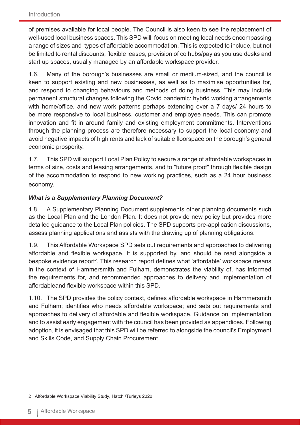of premises available for local people. The Council is also keen to see the replacement of well-used local business spaces. This SPD will focus on meeting local needs encompassing a range of sizes and types of affordable accommodation. This is expected to include, but not be limited to rental discounts, flexible leases, provision of co hubs/pay as you use desks and start up spaces, usually managed by an affordable workspace provider.

1.6. Many of the borough's businesses are small or medium-sized, and the council is keen to support existing and new businesses, as well as to maximise opportunities for, and respond to changing behaviours and methods of doing business. This may include permanent structural changes following the Covid pandemic: hybrid working arrangements with home/office, and new work patterns perhaps extending over a 7 days/ 24 hours to be more responsive to local business, customer and employee needs. This can promote innovation and fit in around family and existing employment commitments. Interventions through the planning process are therefore necessary to support the local economy and avoid negative impacts of high rents and lack of suitable floorspace on the borough's general economic prosperity.

1.7. This SPD will support Local Plan Policy to secure a range of affordable workspaces in terms of size, costs and leasing arrangements, and to "future proof" through flexible design of the accommodation to respond to new working practices, such as a 24 hour business economy.

#### *What is a Supplementary Planning Document?*

1.8. A Supplementary Planning Document supplements other planning documents such as the Local Plan and the London Plan. It does not provide new policy but provides more detailed guidance to the Local Plan policies. The SPD supports pre-application discussions, assess planning applications and assists with the drawing up of planning obligations.

1.9. This Affordable Workspace SPD sets out requirements and approaches to delivering affordable and flexible workspace. It is supported by, and should be read alongside a bespoke evidence report<sup>2</sup>. This research report defines what 'affordable' workspace means in the context of Hammersmith and Fulham, demonstrates the viability of, has informed the requirements for, and recommended approaches to delivery and implementation of affordableand flexible workspace within this SPD.

1.10. The SPD provides the policy context, defines affordable workspace in Hammersmith and Fulham; identifies who needs affordable workspace; and sets out requirements and approaches to delivery of affordable and flexible workspace. Guidance on implementation and to assist early engagement with the council has been provided as appendices. Following adoption, it is envisaged that this SPD will be referred to alongside the council's Employment and Skills Code, and Supply Chain Procurement.

<sup>2</sup> Affordable Workspace Viability Study, Hatch /Turleys 2020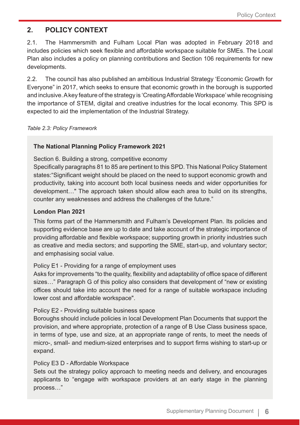# **2. POLICY CONTEXT**

2.1. The Hammersmith and Fulham Local Plan was adopted in February 2018 and includes policies which seek flexible and affordable workspace suitable for SMEs. The Local Plan also includes a policy on planning contributions and Section 106 requirements for new developments.

2.2. The council has also published an ambitious Industrial Strategy 'Economic Growth for Everyone" in 2017, which seeks to ensure that economic growth in the borough is supported and inclusive. A key feature of the strategy is 'Creating Affordable Workspace' while recognising the importance of STEM, digital and creative industries for the local economy. This SPD is expected to aid the implementation of the Industrial Strategy.

*Table 2.3: Policy Framework*

#### **The National Planning Policy Framework 2021**

Section 6. Building a strong, competitive economy

Specifically paragraphs 81 to 85 are pertinent to this SPD. This National Policy Statement states:"Significant weight should be placed on the need to support economic growth and productivity, taking into account both local business needs and wider opportunities for development…" The approach taken should allow each area to build on its strengths, counter any weaknesses and address the challenges of the future."

#### **London Plan 2021**

This forms part of the Hammersmith and Fulham's Development Plan. Its policies and supporting evidence base are up to date and take account of the strategic importance of providing affordable and flexible workspace; supporting growth in priority industries such as creative and media sectors; and supporting the SME, start-up, and voluntary sector; and emphasising social value.

#### Policy E1 - Providing for a range of employment uses

Asks for improvements "to the quality, flexibility and adaptability of office space of different sizes…" Paragraph G of this policy also considers that development of "new or existing offices should take into account the need for a range of suitable workspace including lower cost and affordable workspace".

#### Policy E2 - Providing suitable business space

Boroughs should include policies in local Development Plan Documents that support the provision, and where appropriate, protection of a range of B Use Class business space, in terms of type, use and size, at an appropriate range of rents, to meet the needs of micro-, small- and medium-sized enterprises and to support firms wishing to start-up or expand.

#### Policy E3 D - Affordable Workspace

Sets out the strategy policy approach to meeting needs and delivery, and encourages applicants to "engage with workspace providers at an early stage in the planning process…"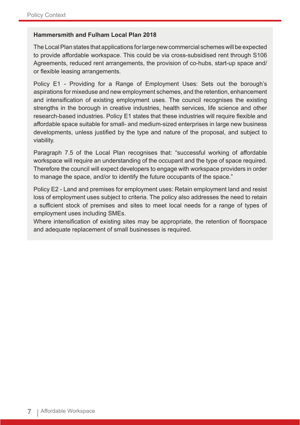#### **Hammersmith and Fulham Local Plan 2018**

The Local Plan states that applications for large new commercial schemes will be expected to provide affordable workspace. This could be via cross-subsidised rent through S106 Agreements, reduced rent arrangements, the provision of co-hubs, start-up space and/ or flexible leasing arrangements.

Policy E1 - Providing for a Range of Employment Uses: Sets out the borough's aspirations for mixeduse and new employment schemes, and the retention, enhancement and intensification of existing employment uses. The council recognises the existing strengths in the borough in creative industries, health services, life science and other research-based industries. Policy E1 states that these industries will require flexible and affordable space suitable for small- and medium-sized enterprises in large new business developments, unless justified by the type and nature of the proposal, and subject to viability.

Paragraph 7.5 of the Local Plan recognises that: "successful working of affordable workspace will require an understanding of the occupant and the type of space required. Therefore the council will expect developers to engage with workspace providers in order to manage the space, and/or to identify the future occupants of the space."

Policy E2 - Land and premises for employment uses: Retain employment land and resist loss of employment uses subject to criteria. The policy also addresses the need to retain a sufficient stock of premises and sites to meet local needs for a range of types of employment uses including SMEs.

Where intensification of existing sites may be appropriate, the retention of floorspace and adequate replacement of small businesses is required.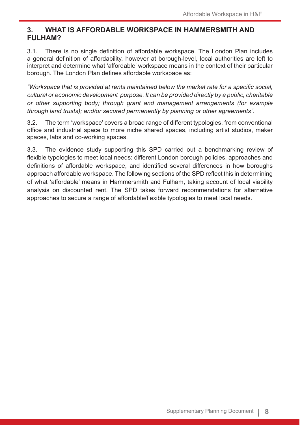# **3. WHAT IS AFFORDABLE WORKSPACE IN HAMMERSMITH AND FULHAM?**

3.1. There is no single definition of affordable workspace. The London Plan includes a general definition of affordability, however at borough-level, local authorities are left to interpret and determine what 'affordable' workspace means in the context of their particular borough. The London Plan defines affordable workspace as:

*"Workspace that is provided at rents maintained below the market rate for a specific social, cultural or economic development purpose. It can be provided directly by a public, charitable or other supporting body; through grant and management arrangements (for example through land trusts); and/or secured permanently by planning or other agreements".* 

3.2. The term 'workspace' covers a broad range of different typologies, from conventional office and industrial space to more niche shared spaces, including artist studios, maker spaces, labs and co-working spaces.

3.3. The evidence study supporting this SPD carried out a benchmarking review of flexible typologies to meet local needs: different London borough policies, approaches and definitions of affordable workspace, and identified several differences in how boroughs approach affordable workspace. The following sections of the SPD reflect this in determining of what 'affordable' means in Hammersmith and Fulham, taking account of local viability analysis on discounted rent. The SPD takes forward recommendations for alternative approaches to secure a range of affordable/flexible typologies to meet local needs.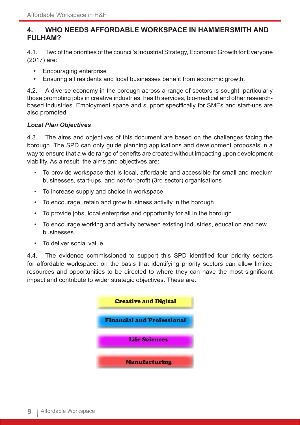# **4. WHO NEEDS AFFORDABLE WORKSPACE IN HAMMERSMITH AND FULHAM?**

4.1. Two of the priorities of the council's Industrial Strategy, Economic Growth for Everyone (2017) are:

- Encouraging enterprise
- Ensuring all residents and local businesses benefit from economic growth.

4.2. A diverse economy in the borough across a range of sectors is sought, particularly those promoting jobs in creative industries, health services, bio-medical and other researchbased industries. Employment space and support specifically for SMEs and start-ups are also promoted.

#### *Local Plan Objectives*

4.3. The aims and objectives of this document are based on the challenges facing the borough. The SPD can only guide planning applications and development proposals in a way to ensure that a wide range of benefits are created without impacting upon development viability. As a result, the aims and objectives are:

- To provide workspace that is local, affordable and accessible for small and medium businesses, start-ups, and not-for-profit (3rd sector) organisations
- To increase supply and choice in workspace
- To encourage, retain and grow business activity in the borough
- To provide jobs, local enterprise and opportunity for all in the borough
- To encourage working and activity between existing industries, education and new businesses.
- To deliver social value

4.4. The evidence commissioned to support this SPD identified four priority sectors for affordable workspace, on the basis that identifying priority sectors can allow limited resources and opportunities to be directed to where they can have the most significant impact and contribute to wider strategic objectives. These are:

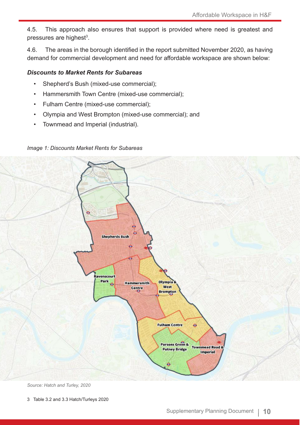4.5. This approach also ensures that support is provided where need is greatest and pressures are highest<sup>3</sup>.

4.6. The areas in the borough identified in the report submitted November 2020, as having demand for commercial development and need for affordable workspace are shown below:

#### *Discounts to Market Rents for Subareas*

- Shepherd's Bush (mixed-use commercial);
- Hammersmith Town Centre (mixed-use commercial);
- Fulham Centre (mixed-use commercial);
- Olympia and West Brompton (mixed-use commercial); and
- Townmead and Imperial (industrial).



#### *Image 1: Discounts Market Rents for Subareas*

*Source: Hatch and Turley, 2020*

3 Table 3.2 and 3.3 Hatch/Turleys 2020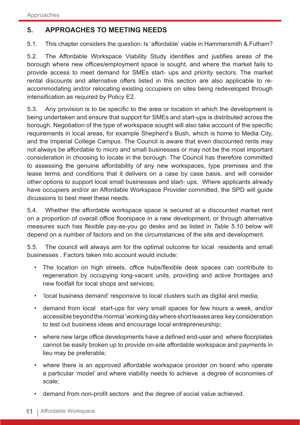# **5. APPROACHES TO MEETING NEEDS**

5.1. This chapter considers the question: Is 'affordable' viable in Hammersmith & Fulham?

5.2. The Affordable Workspace Viability Study identifies and justifies areas of the borough where new offices/employment space is sought, and where the market fails to provide access to meet demand for SMEs start- ups and priority sectors. The market rental discounts and alternative offers listed in this section are also applicable to reaccommodating and/or relocating existing occupiers on sites being redeveloped through intensification as required by Policy E2.

5.3. Any provision is to be specific to the area or location in which the development is being undertaken and ensure that support for SMEs and start-ups is distributed across the borough. Negotiation of the type of workspace sought will also take account of the specific requirements in local areas, for example Shepherd's Bush, which is home to Media City, and the Imperial College Campus. The Council is aware that even discounted rents may not always be affordable to micro and small businesses or may not be the most important consideration in choosing to locate in the borough. The Council has therefore committed to assessing the genuine affordability of any new workspaces, type premises and the lease terms and conditions that it delivers on a case by case basis. and will consider other options to support local small businesses and start- ups. Where applicants already have occupiers and/or an Affordable Workspace Provider committed, the SPD will guide dicussions to best meet these needs.

5.4. Whether the affordable workspace space is secured at a discounted market rent on a proportion of overall office floorspace in a new development, or through alternative measures such has flexible pay-as-you go desks and as listed in *Table 5.10* below will depend on a number of factors and on the circumstances of the site and development.

5.5. The council will always aim for the optimal outcome for local residents and small businesses . Factors taken into account would include:

- The location on high streets, office hubs/flexible desk spaces can contribute to regeneration by occupying long-vacant units, providing and active frontages and new footfall for local shops and services;
- 'local business demand' responsive to local clusters such as digital and media;
- demand from local start-ups for very small spaces for few hours a week, and/or accessible beyond the /normal 'working day where short leases area key consideration to test out business ideas and encourage local entrepreneurship;
- where new large office developments have a defined end-user and where floorplates cannot be easily broken up to provide on-site affordable workspace and payments in lieu may be preferable;
- where there is an approved affordable workspace provider on board who operate a particular 'model' and where viability needs to achieve a degree of economies of scale;
- demand from non-profit sectors and the degree of social value achieved.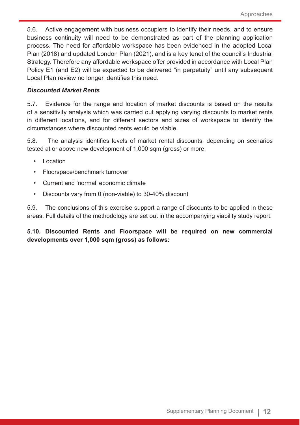5.6. Active engagement with business occupiers to identify their needs, and to ensure business continuity will need to be demonstrated as part of the planning application process. The need for affordable workspace has been evidenced in the adopted Local Plan (2018) and updated London Plan (2021), and is a key tenet of the council's Industrial Strategy. Therefore any affordable workspace offer provided in accordance with Local Plan Policy E1 (and E2) will be expected to be delivered "in perpetuity" until any subsequent Local Plan review no longer identifies this need.

#### *Discounted Market Rents*

5.7. Evidence for the range and location of market discounts is based on the results of a sensitivity analysis which was carried out applying varying discounts to market rents in different locations, and for different sectors and sizes of workspace to identify the circumstances where discounted rents would be viable.

5.8. The analysis identifies levels of market rental discounts, depending on scenarios tested at or above new development of 1,000 sqm (gross) or more:

- Location
- Floorspace/benchmark turnover
- Current and 'normal' economic climate
- Discounts vary from 0 (non-viable) to 30-40% discount

5.9. The conclusions of this exercise support a range of discounts to be applied in these areas. Full details of the methodology are set out in the accompanying viability study report.

**5.10. Discounted Rents and Floorspace will be required on new commercial developments over 1,000 sqm (gross) as follows:**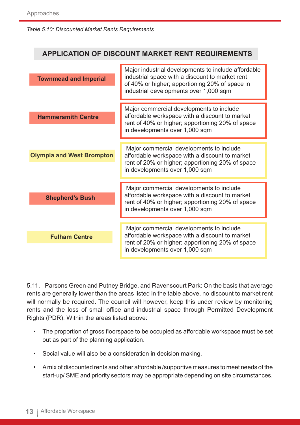#### *Table 5.10: Discounted Market Rents Requirements*

# **APPLICATION OF DISCOUNT MARKET RENT REQUIREMENTS Townmead and Imperial** Major industrial developments to include affordable industrial space with a discount to market rent of 40% or higher; apportioning 20% of space in industrial developments over 1,000 sqm **Hammersmith Centre** Major commercial developments to include affordable workspace with a discount to market rent of 40% or higher; apportioning 20% of space in developments over 1,000 sqm **Shepherd's Bush** Major commercial developments to include affordable workspace with a discount to market rent of 40% or higher; apportioning 20% of space in developments over 1,000 sqm Major commercial developments to include affordable workspace with a discount to market rent of 20% or higher; apportioning 20% of space in developments over 1,000 sqm Major commercial developments to include affordable workspace with a discount to market rent of 20% or higher; apportioning 20% of space in developments over 1,000 sqm **Olympia and West Brompton Fulham Centre**

5.11. Parsons Green and Putney Bridge, and Ravenscourt Park: On the basis that average rents are generally lower than the areas listed in the table above, no discount to market rent will normally be required. The council will however, keep this under review by monitoring rents and the loss of small office and industrial space through Permitted Development Rights (PDR). Within the areas listed above:

- The proportion of gross floorspace to be occupied as affordable workspace must be set out as part of the planning application.
- Social value will also be a consideration in decision making.
- A mix of discounted rents and other affordable /supportive measures to meet needs of the start-up/ SME and priority sectors may be appropriate depending on site circumstances.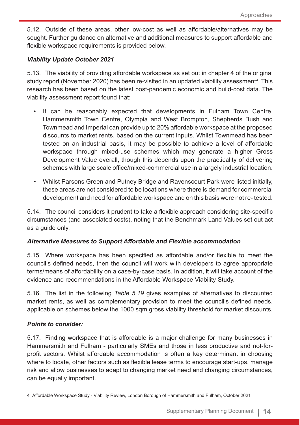5.12. Outside of these areas, other low-cost as well as affordable/alternatives may be sought. Further guidance on alternative and additional measures to support affordable and flexible workspace requirements is provided below.

#### *Viability Update October 2021*

5.13. The viability of providing affordable workspace as set out in chapter 4 of the original study report (November 2020) has been re-visited in an updated viability assessment<sup>4</sup>. This research has been based on the latest post-pandemic economic and build-cost data. The viability assessment report found that:

- It can be reasonably expected that developments in Fulham Town Centre, Hammersmith Town Centre, Olympia and West Brompton, Shepherds Bush and Townmead and Imperial can provide up to 20% affordable workspace at the proposed discounts to market rents, based on the current inputs. Whilst Townmead has been tested on an industrial basis, it may be possible to achieve a level of affordable workspace through mixed-use schemes which may generate a higher Gross Development Value overall, though this depends upon the practicality of delivering schemes with large scale office/mixed-commercial use in a largely industrial location.
- Whilst Parsons Green and Putney Bridge and Ravenscourt Park were listed initially, these areas are not considered to be locations where there is demand for commercial development and need for affordable workspace and on this basis were not re- tested.

5.14. The council considers it prudent to take a flexible approach considering site-specific circumstances (and associated costs), noting that the Benchmark Land Values set out act as a guide only.

#### *Alternative Measures to Support Affordable and Flexible accommodation*

5.15. Where workspace has been specified as affordable and/or flexible to meet the council's defined needs, then the council will work with developers to agree appropriate terms/means of affordability on a case-by-case basis. In addition, it will take account of the evidence and recommendations in the Affordable Workspace Viability Study.

5.16. The list in the following *Table 5.19* gives examples of alternatives to discounted market rents, as well as complementary provision to meet the council's defined needs, applicable on schemes below the 1000 sqm gross viability threshold for market discounts.

#### *Points to consider:*

5.17. Finding workspace that is affordable is a major challenge for many businesses in Hammersmith and Fulham - particularly SMEs and those in less productive and not-forprofit sectors. Whilst affordable accommodation is often a key determinant in choosing where to locate, other factors such as flexible lease terms to encourage start-ups, manage risk and allow businesses to adapt to changing market need and changing circumstances, can be equally important.

<sup>4</sup> Affordable Workspace Study - Viability Review, London Borough of Hammersmith and Fulham, October 2021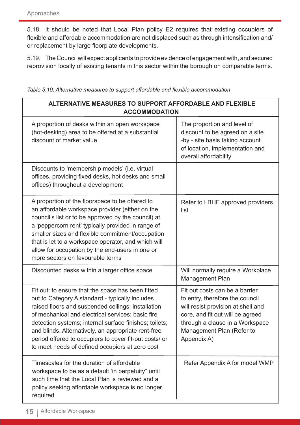5.18. It should be noted that Local Plan policy E2 requires that existing occupiers of flexible and affordable accommodation are not displaced such as through intensification and/ or replacement by large floorplate developments.

5.19. The Council will expect applicants to provide evidence of engagement with, and secured reprovision locally of existing tenants in this sector within the borough on comparable terms.

*Table 5.19: Alternative measures to support affordable and flexible accommodation*

| <b>ALTERNATIVE MEASURES TO SUPPORT AFFORDABLE AND FLEXIBLE</b><br><b>ACCOMMODATION</b>                                                                                                                                                                                                                                                                                                                                                        |                                                                                                                                                                                                                            |  |
|-----------------------------------------------------------------------------------------------------------------------------------------------------------------------------------------------------------------------------------------------------------------------------------------------------------------------------------------------------------------------------------------------------------------------------------------------|----------------------------------------------------------------------------------------------------------------------------------------------------------------------------------------------------------------------------|--|
| A proportion of desks within an open workspace<br>(hot-desking) area to be offered at a substantial<br>discount of market value                                                                                                                                                                                                                                                                                                               | The proportion and level of<br>discount to be agreed on a site<br>-by - site basis taking account<br>of location, implementation and<br>overall affordability                                                              |  |
| Discounts to 'membership models' (i.e. virtual<br>offices, providing fixed desks, hot desks and small<br>offices) throughout a development                                                                                                                                                                                                                                                                                                    |                                                                                                                                                                                                                            |  |
| A proportion of the floorspace to be offered to<br>an affordable workspace provider (either on the<br>council's list or to be approved by the council) at<br>a 'peppercorn rent' typically provided in range of<br>smaller sizes and flexible commitment/occupation<br>that is let to a workspace operator, and which will<br>allow for occupation by the end-users in one or<br>more sectors on favourable terms                             | Refer to LBHF approved providers<br>list                                                                                                                                                                                   |  |
| Discounted desks within a larger office space                                                                                                                                                                                                                                                                                                                                                                                                 | Will normally require a Workplace<br><b>Management Plan</b>                                                                                                                                                                |  |
| Fit out: to ensure that the space has been fitted<br>out to Category A standard - typically includes<br>raised floors and suspended ceilings; installation<br>of mechanical and electrical services; basic fire<br>detection systems; internal surface finishes; toilets;<br>and blinds. Alternatively, an appropriate rent-free<br>period offered to occupiers to cover fit-out costs/ or<br>to meet needs of defined occupiers at zero cost | Fit out costs can be a barrier<br>to entry, therefore the council<br>will resist provision at shell and<br>core, and fit out will be agreed<br>through a clause in a Workspace<br>Management Plan (Refer to<br>Appendix A) |  |
| Timescales for the duration of affordable<br>workspace to be as a default 'in perpetuity" until<br>such time that the Local Plan is reviewed and a<br>policy seeking affordable workspace is no longer<br>required                                                                                                                                                                                                                            | Refer Appendix A for model WMP                                                                                                                                                                                             |  |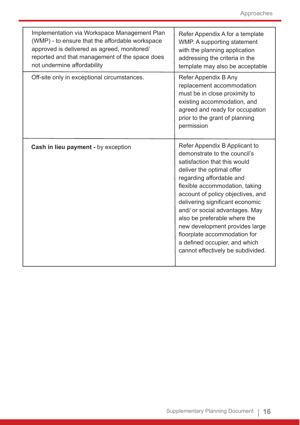| Implementation via Workspace Management Plan<br>(WMP) - to ensure that the affordable workspace<br>approved is delivered as agreed, monitored/<br>reported and that management of the space does<br>not undermine affordability | Refer Appendix A for a template<br>WMP. A supporting statement<br>with the planning application<br>addressing the criteria in the<br>template may also be acceptable                                                                                                                                                                                                                                                                                                       |
|---------------------------------------------------------------------------------------------------------------------------------------------------------------------------------------------------------------------------------|----------------------------------------------------------------------------------------------------------------------------------------------------------------------------------------------------------------------------------------------------------------------------------------------------------------------------------------------------------------------------------------------------------------------------------------------------------------------------|
| Off-site only in exceptional circumstances.                                                                                                                                                                                     | Refer Appendix B Any<br>replacement accommodation<br>must be in close proximity to<br>existing accommodation, and<br>agreed and ready for occupation<br>prior to the grant of planning<br>permission                                                                                                                                                                                                                                                                       |
| Cash in lieu payment - by exception                                                                                                                                                                                             | Refer Appendix B Applicant to<br>demonstrate to the council's<br>satisfaction that this would<br>deliver the optimal offer<br>regarding affordable and<br>flexible accommodation, taking<br>account of policy objectives, and<br>delivering significant economic<br>and/ or social advantages. May<br>also be preferable where the<br>new development provides large<br>floorplate accommodation for<br>a defined occupier, and which<br>cannot effectively be subdivided. |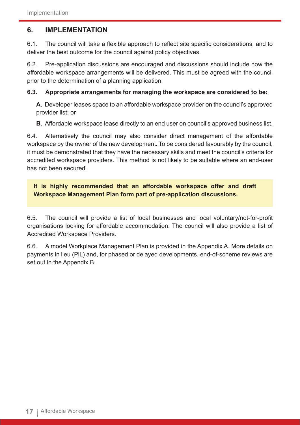# **6. IMPLEMENTATION**

6.1. The council will take a flexible approach to reflect site specific considerations, and to deliver the best outcome for the council against policy objectives.

6.2. Pre-application discussions are encouraged and discussions should include how the affordable workspace arrangements will be delivered. This must be agreed with the council prior to the determination of a planning application.

#### **6.3. Appropriate arrangements for managing the workspace are considered to be:**

**A.** Developer leases space to an affordable workspace provider on the council's approved provider list; or

**B.** Affordable workspace lease directly to an end user on council's approved business list.

6.4. Alternatively the council may also consider direct management of the affordable workspace by the owner of the new development. To be considered favourably by the council, it must be demonstrated that they have the necessary skills and meet the council's criteria for accredited workspace providers. This method is not likely to be suitable where an end-user has not been secured.

**It is highly recommended that an affordable workspace offer and draft Workspace Management Plan form part of pre-application discussions.**

6.5. The council will provide a list of local businesses and local voluntary/not-for-profit organisations looking for affordable accommodation. The council will also provide a list of Accredited Workspace Providers.

6.6. A model Workplace Management Plan is provided in the Appendix A. More details on payments in lieu (PiL) and, for phased or delayed developments, end-of-scheme reviews are set out in the Appendix B.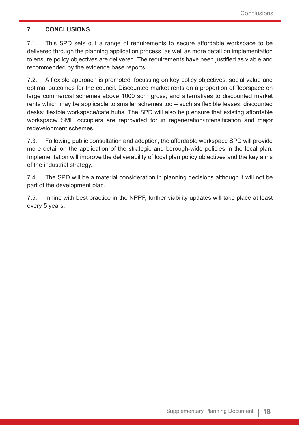#### **7. CONCLUSIONS**

7.1. This SPD sets out a range of requirements to secure affordable workspace to be delivered through the planning application process, as well as more detail on implementation to ensure policy objectives are delivered. The requirements have been justified as viable and recommended by the evidence base reports.

7.2. A flexible approach is promoted, focussing on key policy objectives, social value and optimal outcomes for the council. Discounted market rents on a proportion of floorspace on large commercial schemes above 1000 sqm gross; and alternatives to discounted market rents which may be applicable to smaller schemes too – such as flexible leases; discounted desks; flexible workspace/cafe hubs. The SPD will also help ensure that existing affordable workspace/ SME occupiers are reprovided for in regeneration/intensification and major redevelopment schemes.

7.3. Following public consultation and adoption, the affordable workspace SPD will provide more detail on the application of the strategic and borough-wide policies in the local plan. Implementation will improve the deliverability of local plan policy objectives and the key aims of the industrial strategy.

7.4. The SPD will be a material consideration in planning decisions although it will not be part of the development plan.

7.5. In line with best practice in the NPPF, further viability updates will take place at least every 5 years.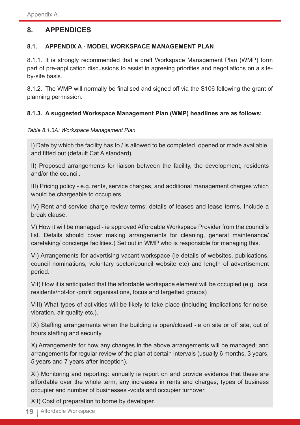# **8. APPENDICES**

#### **8.1. APPENDIX A - MODEL WORKSPACE MANAGEMENT PLAN**

8.1.1. It is strongly recommended that a draft Workspace Management Plan (WMP) form part of pre-application discussions to assist in agreeing priorities and negotiations on a siteby-site basis.

8.1.2. The WMP will normally be finalised and signed off via the S106 following the grant of planning permission.

#### **8.1.3. A suggested Workspace Management Plan (WMP) headlines are as follows:**

#### *Table 8.1.3A: Workspace Management Plan*

I) Date by which the facility has to / is allowed to be completed, opened or made available, and fitted out (default Cat A standard).

II) Proposed arrangements for liaison between the facility, the development, residents and/or the council.

III) Pricing policy - e.g. rents, service charges, and additional management charges which would be chargeable to occupiers.

IV) Rent and service charge review terms; details of leases and lease terms. Include a break clause.

V) How it will be managed - ie approved Affordable Workspace Provider from the council's list. Details should cover making arrangements for cleaning, general maintenance/ caretaking/ concierge facilities.) Set out in WMP who is responsible for managing this.

VI) Arrangements for advertising vacant workspace (ie details of websites, publications, council nominations, voluntary sector/council website etc) and length of advertisement period.

VII) How it is anticipated that the affordable workspace element will be occupied (e.g. local residents/not-for -profit organisations, focus and targetted groups)

VIII) What types of activities will be likely to take place (including implications for noise, vibration, air quality etc.).

IX) Staffing arrangements when the building is open/closed -ie on site or off site, out of hours staffing and security.

X) Arrangements for how any changes in the above arrangements will be managed; and arrangements for regular review of the plan at certain intervals (usually 6 months, 3 years, 5 years and 7 years after inception).

XI) Monitoring and reporting: annually ie report on and provide evidence that these are affordable over the whole term; any increases in rents and charges; types of business occupier and number of businesses -voids and occupier turnover.

XII) Cost of preparation to borne by developer.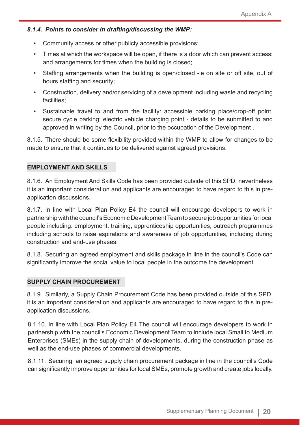#### *8.1.4. Points to consider in drafting/discussing the WMP:*

- Community access or other publicly accessible provisions;
- Times at which the workspace will be open, if there is a door which can prevent access; and arrangements for times when the building is closed;
- Staffing arrangements when the building is open/closed -ie on site or off site, out of hours staffing and security;
- Construction, delivery and/or servicing of a development including waste and recycling facilities;
- Sustainable travel to and from the facility: accessible parking place/drop-off point, secure cycle parking; electric vehicle charging point - details to be submitted to and approved in writing by the Council, prior to the occupation of the Development .

8.1.5. There should be some flexibility provided within the WMP to allow for changes to be made to ensure that it continues to be delivered against agreed provisions.

#### **EMPLOYMENT AND SKILLS**

8.1.6. An Employment And Skills Code has been provided outside of this SPD, nevertheless it is an important consideration and applicants are encouraged to have regard to this in preapplication discussions.

8.1.7. In line with Local Plan Policy E4 the council will encourage developers to work in partnership with the council's Economic Development Team to secure job opportunities for local people including: employment, training, apprenticeship opportunities, outreach programmes including schools to raise aspirations and awareness of job opportunities, including during construction and end-use phases.

8.1.8. Securing an agreed employment and skills package in line in the council's Code can significantly improve the social value to local people in the outcome the development.

#### **SUPPLY CHAIN PROCUREMENT**

8.1.9. Similarly, a Supply Chain Procurement Code has been provided outside of this SPD. it is an important consideration and applicants are encouraged to have regard to this in preapplication discussions.

8.1.10. In line with Local Plan Policy E4 The council will encourage developers to work in partnership with the council's Economic Development Team to include local Small to Medium Enterprises (SMEs) in the supply chain of developments, during the construction phase as well as the end-use phases of commercial developments.

8.1.11. Securing an agreed supply chain procurement package in line in the council's Code can significantly improve opportunities for local SMEs, promote growth and create jobs locally.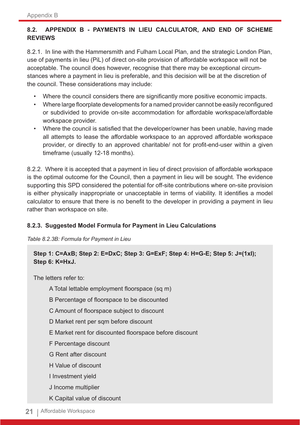# **8.2. APPENDIX B - PAYMENTS IN LIEU CALCULATOR, AND END OF SCHEME REVIEWS**

8.2.1. In line with the Hammersmith and Fulham Local Plan, and the strategic London Plan, use of payments in lieu (PiL) of direct on-site provision of affordable workspace will not be acceptable. The council does however, recognise that there may be exceptional circumstances where a payment in lieu is preferable, and this decision will be at the discretion of the council. These considerations may include:

- Where the council considers there are significantly more positive economic impacts.
- Where large floorplate developments for a named provider cannot be easily reconfigured or subdivided to provide on-site accommodation for affordable workspace/affordable workspace provider.
- Where the council is satisfied that the developer/owner has been unable, having made all attempts to lease the affordable workspace to an approved affordable workspace provider, or directly to an approved charitable/ not for profit-end-user within a given timeframe (usually 12-18 months).

8.2.2. Where it is accepted that a payment in lieu of direct provision of affordable workspace is the optimal outcome for the Council, then a payment in lieu will be sought. The evidence supporting this SPD considered the potential for off-site contributions where on-site provision is either physically inappropriate or unacceptable in terms of viability. It identifies a model calculator to ensure that there is no benefit to the developer in providing a payment in lieu rather than workspace on site.

#### **8.2.3. Suggested Model Formula for Payment in Lieu Calculations**

*Table 8.2.3B: Formula for Payment in Lieu*

### **Step 1: C=AxB; Step 2: E=DxC; Step 3: G=ExF; Step 4: H=G-E; Step 5: J=(1xI); Step 6: K=HxJ.**

The letters refer to:

- A Total lettable employment floorspace (sq m)
- B Percentage of floorspace to be discounted
- C Amount of floorspace subject to discount
- D Market rent per sqm before discount
- E Market rent for discounted floorspace before discount
- F Percentage discount
- G Rent after discount
- H Value of discount
- I Investment yield
- J Income multiplier
- K Capital value of discount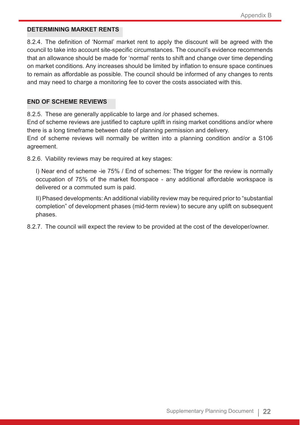#### **DETERMINING MARKET RENTS**

8.2.4. The definition of 'Normal' market rent to apply the discount will be agreed with the council to take into account site-specific circumstances. The council's evidence recommends that an allowance should be made for 'normal' rents to shift and change over time depending on market conditions. Any increases should be limited by inflation to ensure space continues to remain as affordable as possible. The council should be informed of any changes to rents and may need to charge a monitoring fee to cover the costs associated with this.

#### **END OF SCHEME REVIEWS**

8.2.5. These are generally applicable to large and /or phased schemes.

End of scheme reviews are justified to capture uplift in rising market conditions and/or where there is a long timeframe between date of planning permission and delivery.

End of scheme reviews will normally be written into a planning condition and/or a S106 agreement.

8.2.6. Viability reviews may be required at key stages:

I) Near end of scheme -ie 75% / End of schemes: The trigger for the review is normally occupation of 75% of the market floorspace - any additional affordable workspace is delivered or a commuted sum is paid.

II) Phased developments: An additional viability review may be required prior to "substantial completion" of development phases (mid-term review) to secure any uplift on subsequent phases.

8.2.7. The council will expect the review to be provided at the cost of the developer/owner.